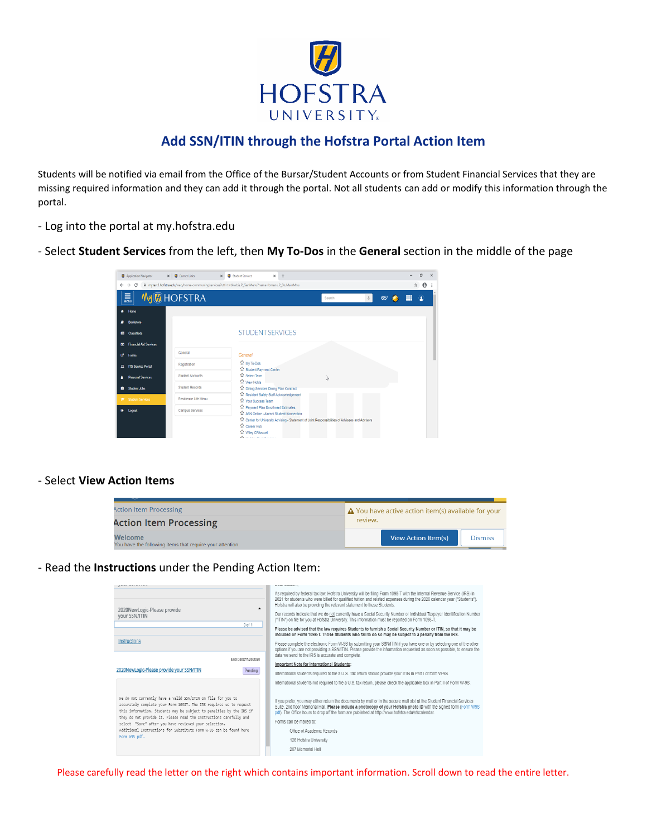

## **Add SSN/ITIN through the Hofstra Portal Action Item**

Students will be notified via email from the Office of the Bursar/Student Accounts or from Student Financial Services that they are missing required information and they can add it through the portal. Not all students can add or modify this information through the portal.

- Log into the portal at my.hofstra.edu
- Select **Student Services** from the left, then **My To-Dos** in the **General** section in the middle of the page

|           | Application Navigator           | x   8 Banner Links      | $x +$<br>X <b>M</b> Student Services                                                           |        |            |   | 0                     | $\times$ |
|-----------|---------------------------------|-------------------------|------------------------------------------------------------------------------------------------|--------|------------|---|-----------------------|----------|
|           | $\leftarrow$ $\rightarrow$<br>C |                         | mytest3.hofstra.edu/web/home-community/services?utf=twbkwbis.P_GenMenu?name=bmenu.P_StuMainMnu |        |            | ☆ | $\boldsymbol{\Theta}$ |          |
|           | $\equiv$<br>Menu                | <b>My @ HOFSTRA</b>     |                                                                                                | Search | $65^\circ$ | ▦ | $\bf{Q}$              |          |
|           | Home                            |                         |                                                                                                |        |            |   |                       |          |
|           | <b>Bookstore</b>                |                         |                                                                                                |        |            |   |                       |          |
| 簡         | Classifieds                     |                         | <b>STUDENT SERVICES</b>                                                                        |        |            |   |                       |          |
| $\omega$  | <b>Financial Aid Services</b>   |                         |                                                                                                |        |            |   |                       |          |
| Ø.        | Forms                           | General                 | General                                                                                        |        |            |   |                       |          |
|           | <b>El ITS Service Portal</b>    | Registration            | ☆ My To-Dos<br>Student Payment Center                                                          |        |            |   |                       |          |
|           | <b>Personal Services</b>        | <b>Student Accounts</b> | Select Term                                                                                    | I.     |            |   |                       |          |
| ٠         | <b>Student Jobs</b>             | <b>Student Records</b>  | ☆ View Holds<br>Dining Services Dining Plan Contract                                           |        |            |   |                       |          |
|           | <b>E</b> Student Services       | Residence Life Menu     | Resident Safety Staff Acknowledgement<br><b>12 Your Success Team</b>                           |        |            |   |                       |          |
| $\bullet$ | Logout                          | Campus Services         | Payment Plan Enrollment Estimates<br>ASK Online - Alumni Student Konnection                    |        |            |   |                       |          |
|           |                                 |                         | Center for University Advising - Statement of Joint Responsibilities of Advisees and Advisors  |        |            |   |                       |          |
|           |                                 |                         | ነን Career Hub<br><b>Wiley CPAexcel</b>                                                         |        |            |   |                       |          |
|           |                                 |                         | A.                                                                                             |        |            |   |                       |          |

## - Select **View Action Items**

| <b>Action Item Processing</b>                                        | $\Delta$ You have active action item(s) available for your |
|----------------------------------------------------------------------|------------------------------------------------------------|
| <b>Action Item Processing</b>                                        | review.                                                    |
| Welcome<br>You have the following items that require your attention. | View Action Item(s)<br><b>Dismiss</b>                      |

- Read the **Instructions** under the Pending Action Item:

| <b></b>                                                                                                                                                                                                                                                                                                                                                                                                                           | LENARD SERVICES                                                                                                                                                                                                                                                                                                                                                                                                                                           |
|-----------------------------------------------------------------------------------------------------------------------------------------------------------------------------------------------------------------------------------------------------------------------------------------------------------------------------------------------------------------------------------------------------------------------------------|-----------------------------------------------------------------------------------------------------------------------------------------------------------------------------------------------------------------------------------------------------------------------------------------------------------------------------------------------------------------------------------------------------------------------------------------------------------|
| $\blacktriangle$                                                                                                                                                                                                                                                                                                                                                                                                                  | As required by federal tax law. Hofstra University will be filing Form 1098-T with the Internal Revenue Service (IRS) in<br>2021 for students who were billed for qualified tuition and related expenses during the 2020 calendar year ("Students").<br>Hofstra will also be providing the relevant statement to these Students.                                                                                                                          |
| 2020NewLogic-Please provide<br>vour SSN/ITIN                                                                                                                                                                                                                                                                                                                                                                                      | Our records indicate that we do not currently have a Social Security Number or Individual Taxpayer Identification Number<br>("ITIN") on file for you at Hofstra University. This information must be reported on Form 1098-T.                                                                                                                                                                                                                             |
| 0 of 1                                                                                                                                                                                                                                                                                                                                                                                                                            | Please be advised that the law requires Students to furnish a Social Security Number or ITIN, so that it may be<br>included on Form 1098-T. Those Students who fail to do so may be subject to a penalty from the IRS.                                                                                                                                                                                                                                    |
| <b>Instructions</b>                                                                                                                                                                                                                                                                                                                                                                                                               | Please complete the electronic Form W-9S by submitting your SSN/ITIN if you have one or by selecting one of the other<br>options if you are not providing a SSN/ITIN. Please provide the information requested as soon as possible, to ensure the<br>data we send to the IRS is accurate and complete.                                                                                                                                                    |
| End Date:11/20/2020                                                                                                                                                                                                                                                                                                                                                                                                               | Important Note for International Students:                                                                                                                                                                                                                                                                                                                                                                                                                |
| 2020NewLogic-Please provide your SSN/ITIN<br>Pending                                                                                                                                                                                                                                                                                                                                                                              | International students required to file a U.S. Tax return should provide your ITIN in Part I of form W-9S.                                                                                                                                                                                                                                                                                                                                                |
|                                                                                                                                                                                                                                                                                                                                                                                                                                   | International students not required to file a U.S. tax return, please check the applicable box in Part II of Form W-9S.                                                                                                                                                                                                                                                                                                                                   |
| We do not currently have a valid SSN/ITIN on file for you to<br>accurately complete your Form 1098T. The IRS requires us to request<br>this information. Students may be subject to penalties by the IRS if<br>they do not provide it. Please read the Instructions carefully and<br>select "Save" after you have reviewed your selection.<br>Additional Instructions for Substitute Form W-9S can be found here<br>Form W9S pdf. | If you prefer, you may either return the documents by mail or in the secure mail slot at the Student Financial Services<br>Suite, 2nd floor Memorial Hall. Please include a photocopy of your Hofstra photo ID with the signed form (Form W9S<br>pdf). The Office hours to drop off the form are published at http://www.hofstra.edu/sfscalendar.<br>Forms can be mailed to:<br>Office of Academic Records<br>126 Hofstra University<br>207 Memorial Hall |

Please carefully read the letter on the right which contains important information. Scroll down to read the entire letter.